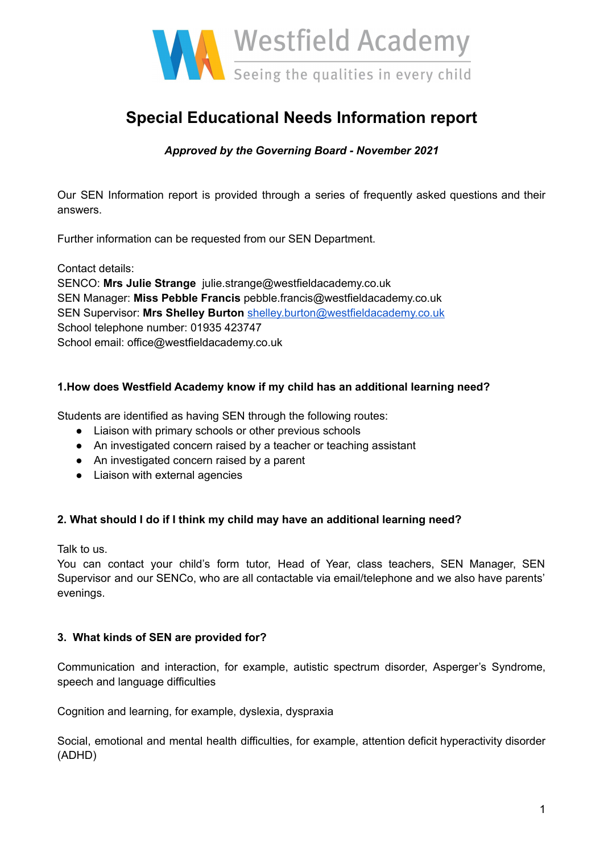

# **Special Educational Needs Information report**

# *Approved by the Governing Board - November 2021*

Our SEN Information report is provided through a series of frequently asked questions and their answers.

Further information can be requested from our SEN Department.

Contact details:

SENCO: **Mrs Julie Strange** julie.strange@westfieldacademy.co.uk SEN Manager: **Miss Pebble Francis** pebble.francis@westfieldacademy.co.uk SEN Supervisor: **Mrs Shelley Burton** [shelley.burton@westfieldacademy.co.uk](mailto:shelley.burton@westfieldacademy.co.uk) School telephone number: 01935 423747 School email: office@westfieldacademy.co.uk

## **1.How does Westfield Academy know if my child has an additional learning need?**

Students are identified as having SEN through the following routes:

- Liaison with primary schools or other previous schools
- An investigated concern raised by a teacher or teaching assistant
- An investigated concern raised by a parent
- Liaison with external agencies

#### **2. What should I do if I think my child may have an additional learning need?**

Talk to us.

You can contact your child's form tutor, Head of Year, class teachers, SEN Manager, SEN Supervisor and our SENCo, who are all contactable via email/telephone and we also have parents' evenings.

#### **3. What kinds of SEN are provided for?**

Communication and interaction, for example, autistic spectrum disorder, Asperger's Syndrome, speech and language difficulties

Cognition and learning, for example, dyslexia, dyspraxia

Social, emotional and mental health difficulties, for example, attention deficit hyperactivity disorder (ADHD)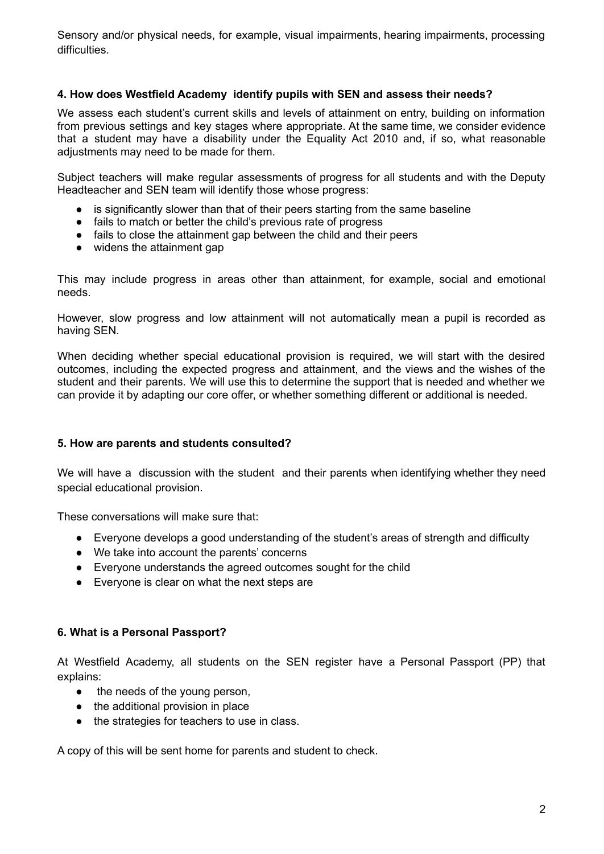Sensory and/or physical needs, for example, visual impairments, hearing impairments, processing difficulties.

#### **4. How does Westfield Academy identify pupils with SEN and assess their needs?**

We assess each student's current skills and levels of attainment on entry, building on information from previous settings and key stages where appropriate. At the same time, we consider evidence that a student may have a disability under the Equality Act 2010 and, if so, what reasonable adjustments may need to be made for them.

Subject teachers will make regular assessments of progress for all students and with the Deputy Headteacher and SEN team will identify those whose progress:

- is significantly slower than that of their peers starting from the same baseline
- fails to match or better the child's previous rate of progress
- fails to close the attainment gap between the child and their peers
- widens the attainment gap

This may include progress in areas other than attainment, for example, social and emotional needs.

However, slow progress and low attainment will not automatically mean a pupil is recorded as having SEN.

When deciding whether special educational provision is required, we will start with the desired outcomes, including the expected progress and attainment, and the views and the wishes of the student and their parents. We will use this to determine the support that is needed and whether we can provide it by adapting our core offer, or whether something different or additional is needed.

#### **5. How are parents and students consulted?**

We will have a discussion with the student and their parents when identifying whether they need special educational provision.

These conversations will make sure that:

- Everyone develops a good understanding of the student's areas of strength and difficulty
- We take into account the parents' concerns
- Everyone understands the agreed outcomes sought for the child
- Everyone is clear on what the next steps are

#### **6. What is a Personal Passport?**

At Westfield Academy, all students on the SEN register have a Personal Passport (PP) that explains:

- the needs of the young person.
- the additional provision in place
- the strategies for teachers to use in class.

A copy of this will be sent home for parents and student to check.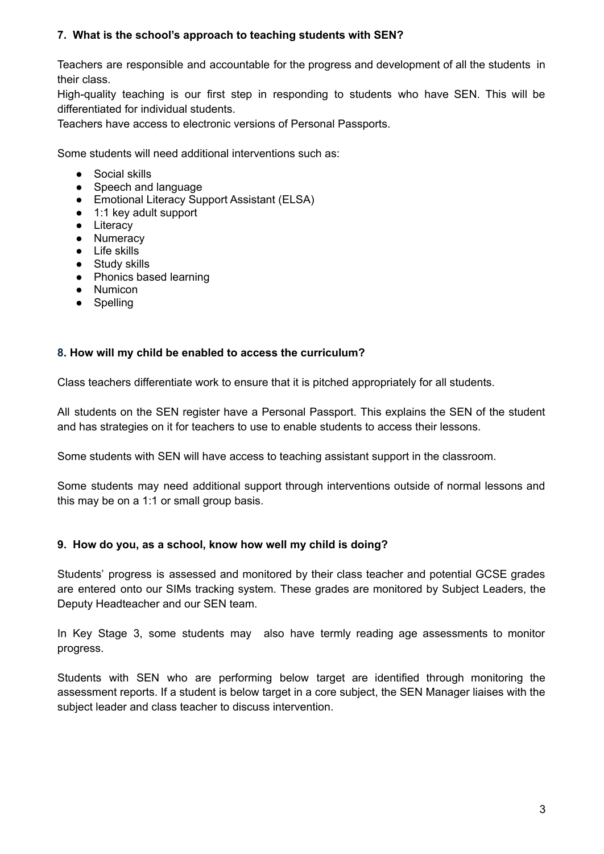## **7. What is the school's approach to teaching students with SEN?**

Teachers are responsible and accountable for the progress and development of all the students in their class.

High-quality teaching is our first step in responding to students who have SEN. This will be differentiated for individual students.

Teachers have access to electronic versions of Personal Passports.

Some students will need additional interventions such as:

- Social skills
- Speech and language
- Emotional Literacy Support Assistant (ELSA)
- 1:1 key adult support
- Literacy
- Numeracy
- Life skills
- Study skills
- Phonics based learning
- Numicon
- Spelling

#### **8. How will my child be enabled to access the curriculum?**

Class teachers differentiate work to ensure that it is pitched appropriately for all students.

All students on the SEN register have a Personal Passport. This explains the SEN of the student and has strategies on it for teachers to use to enable students to access their lessons.

Some students with SEN will have access to teaching assistant support in the classroom.

Some students may need additional support through interventions outside of normal lessons and this may be on a 1:1 or small group basis.

#### **9. How do you, as a school, know how well my child is doing?**

Students' progress is assessed and monitored by their class teacher and potential GCSE grades are entered onto our SIMs tracking system. These grades are monitored by Subject Leaders, the Deputy Headteacher and our SEN team.

In Key Stage 3, some students may also have termly reading age assessments to monitor progress.

Students with SEN who are performing below target are identified through monitoring the assessment reports. If a student is below target in a core subject, the SEN Manager liaises with the subject leader and class teacher to discuss intervention.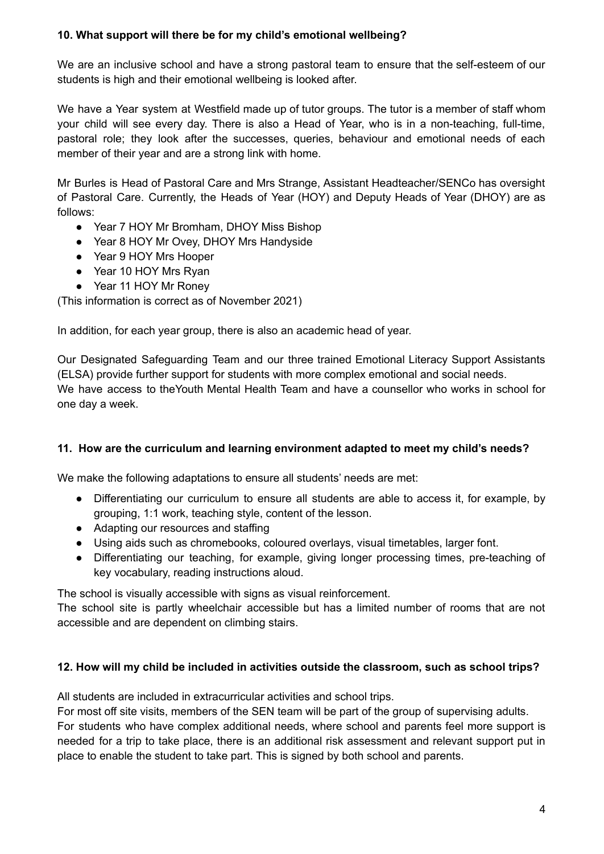## **10. What support will there be for my child's emotional wellbeing?**

We are an inclusive school and have a strong pastoral team to ensure that the self-esteem of our students is high and their emotional wellbeing is looked after.

We have a Year system at Westfield made up of tutor groups. The tutor is a member of staff whom your child will see every day. There is also a Head of Year, who is in a non-teaching, full-time, pastoral role; they look after the successes, queries, behaviour and emotional needs of each member of their year and are a strong link with home.

Mr Burles is Head of Pastoral Care and Mrs Strange, Assistant Headteacher/SENCo has oversight of Pastoral Care. Currently, the Heads of Year (HOY) and Deputy Heads of Year (DHOY) are as follows:

- Year 7 HOY Mr Bromham, DHOY Miss Bishop
- Year 8 HOY Mr Ovey, DHOY Mrs Handyside
- Year 9 HOY Mrs Hooper
- Year 10 HOY Mrs Ryan
- Year 11 HOY Mr Roney

(This information is correct as of November 2021)

In addition, for each year group, there is also an academic head of year.

Our Designated Safeguarding Team and our three trained Emotional Literacy Support Assistants (ELSA) provide further support for students with more complex emotional and social needs. We have access to theYouth Mental Health Team and have a counsellor who works in school for one day a week.

## **11. How are the curriculum and learning environment adapted to meet my child's needs?**

We make the following adaptations to ensure all students' needs are met:

- Differentiating our curriculum to ensure all students are able to access it, for example, by grouping, 1:1 work, teaching style, content of the lesson.
- Adapting our resources and staffing
- Using aids such as chromebooks, coloured overlays, visual timetables, larger font.
- Differentiating our teaching, for example, giving longer processing times, pre-teaching of key vocabulary, reading instructions aloud.

The school is visually accessible with signs as visual reinforcement.

The school site is partly wheelchair accessible but has a limited number of rooms that are not accessible and are dependent on climbing stairs.

## **12. How will my child be included in activities outside the classroom, such as school trips?**

All students are included in extracurricular activities and school trips.

For most off site visits, members of the SEN team will be part of the group of supervising adults. For students who have complex additional needs, where school and parents feel more support is needed for a trip to take place, there is an additional risk assessment and relevant support put in place to enable the student to take part. This is signed by both school and parents.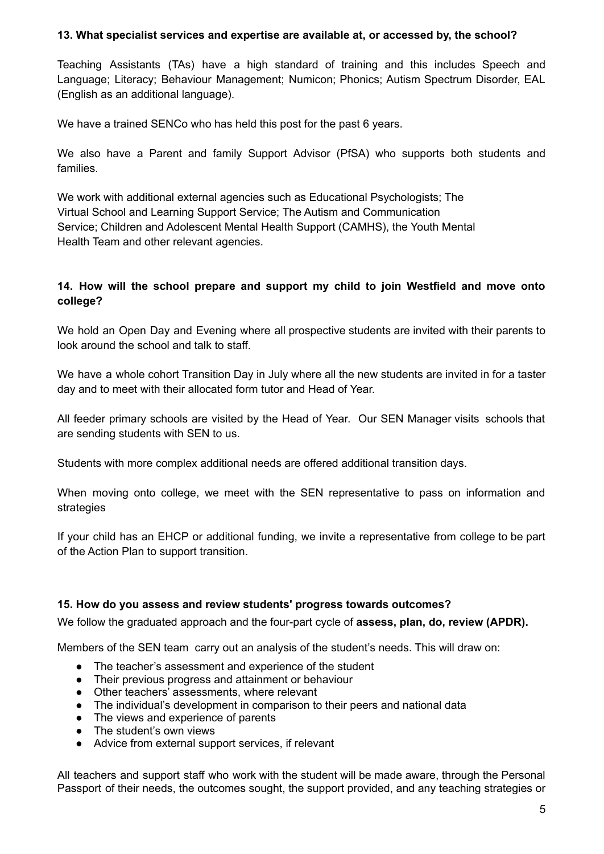#### **13. What specialist services and expertise are available at, or accessed by, the school?**

Teaching Assistants (TAs) have a high standard of training and this includes Speech and Language; Literacy; Behaviour Management; Numicon; Phonics; Autism Spectrum Disorder, EAL (English as an additional language).

We have a trained SENCo who has held this post for the past 6 years.

We also have a Parent and family Support Advisor (PfSA) who supports both students and families.

We work with additional external agencies such as Educational Psychologists; The Virtual School and Learning Support Service; The Autism and Communication Service; Children and Adolescent Mental Health Support (CAMHS), the Youth Mental Health Team and other relevant agencies.

## **14. How will the school prepare and support my child to join Westfield and move onto college?**

We hold an Open Day and Evening where all prospective students are invited with their parents to look around the school and talk to staff.

We have a whole cohort Transition Day in July where all the new students are invited in for a taster day and to meet with their allocated form tutor and Head of Year.

All feeder primary schools are visited by the Head of Year. Our SEN Manager visits schools that are sending students with SEN to us.

Students with more complex additional needs are offered additional transition days.

When moving onto college, we meet with the SEN representative to pass on information and strategies

If your child has an EHCP or additional funding, we invite a representative from college to be part of the Action Plan to support transition.

## **15. How do you assess and review students' progress towards outcomes?**

We follow the graduated approach and the four-part cycle of **assess, plan, do, review (APDR).**

Members of the SEN team carry out an analysis of the student's needs. This will draw on:

- The teacher's assessment and experience of the student
- Their previous progress and attainment or behaviour
- Other teachers' assessments, where relevant
- The individual's development in comparison to their peers and national data
- The views and experience of parents
- The student's own views
- Advice from external support services, if relevant

All teachers and support staff who work with the student will be made aware, through the Personal Passport of their needs, the outcomes sought, the support provided, and any teaching strategies or